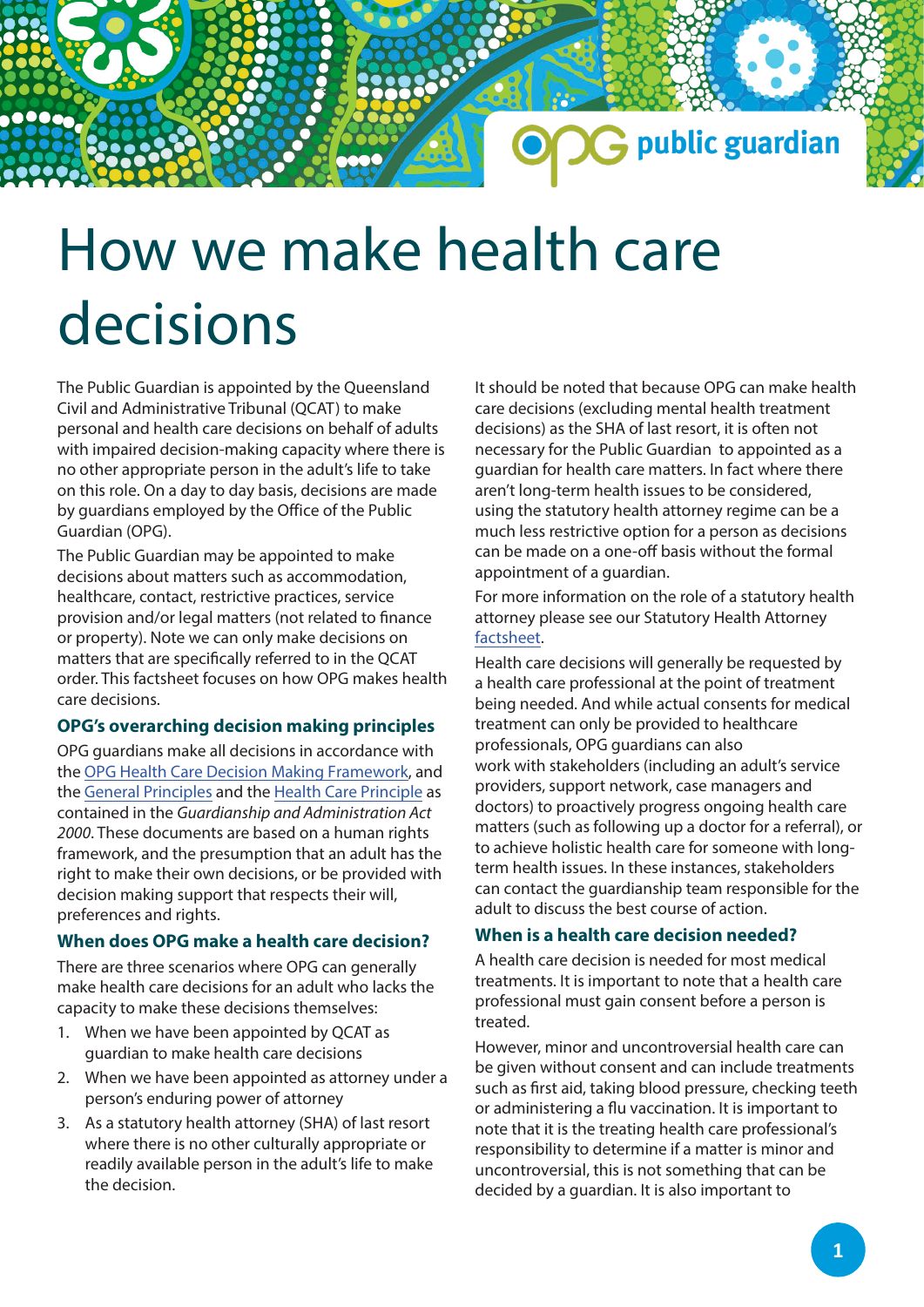# How we make health care decisions

The Public Guardian is appointed by the Queensland Civil and Administrative Tribunal (QCAT) to make personal and health care decisions on behalf of adults with impaired decision-making capacity where there is no other appropriate person in the adult's life to take on this role. On a day to day basis, decisions are made by guardians employed by the Office of the Public Guardian (OPG).

The Public Guardian may be appointed to make decisions about matters such as accommodation, healthcare, contact, restrictive practices, service provision and/or legal matters (not related to finance or property). Note we can only make decisions on matters that are specifically referred to in the QCAT order. This factsheet focuses on how OPG makes health care decisions.

## **OPG's overarching decision making principles**

OPG guardians make all decisions in accordance with the OPG Health Care [Decision Making Framework, and](https://www.publicguardian.qld.gov.au/__data/assets/pdf_file/0005/580595/Health-Care-Framework.pdf)  the [General Principles](https://www.publicguardian.qld.gov.au/__data/assets/pdf_file/0006/572352/OPG-Factsheet_General-Principles.pdf) and the Health [Care Principle](https://www.publicguardian.qld.gov.au/__data/assets/pdf_file/0007/572353/OPG-Factsheet_Health-Care-Principles.pdf) as contained in the *Guardianship and Administration Act 2000*. These documents are based on a human rights framework, and the presumption that an adult has the right to make their own decisions, or be provided with decision making support that respects their will, preferences and rights.

## **When does OPG make a health care decision?**

There are three scenarios where OPG can generally make health care decisions for an adult who lacks the capacity to make these decisions themselves:

- 1. When we have been appointed by QCAT as guardian to make health care decisions
- 2. When we have been appointed as attorney under a person's enduring power of attorney
- 3. As a statutory health attorney (SHA) of last resort where there is no other culturally appropriate or readily available person in the adult's life to make the decision.

It should be noted that because OPG can make health care decisions (excluding mental health treatment decisions) as the SHA of last resort, it is often not necessary for the Public Guardian to appointed as a guardian for health care matters. In fact where there aren't long-term health issues to be considered, using the statutory health attorney regime can be a much less restrictive option for a person as decisions can be made on a one-off basis without the formal appointment of a guardian.

G public guardian

For more information on the role of a statutory health attorney please see our Statutory Health Attorney [factsheet](https://www.publicguardian.qld.gov.au/__data/assets/pdf_file/0009/572355/Factsheet_Understanding-the-role-of-a-Statutory-Health-Attorney.pdf).

Health care decisions will generally be requested by a health care professional at the point of treatment being needed. And while actual consents for medical treatment can only be provided to healthcare professionals, OPG guardians can also work with stakeholders (including an adult's service providers, support network, case managers and doctors) to proactively progress ongoing health care matters (such as following up a doctor for a referral), or to achieve holistic health care for someone with longterm health issues. In these instances, stakeholders can contact the guardianship team responsible for the adult to discuss the best course of action.

## **When is a health care decision needed?**

A health care decision is needed for most medical treatments. It is important to note that a health care professional must gain consent before a person is treated.

However, minor and uncontroversial health care can be given without consent and can include treatments such as first aid, taking blood pressure, checking teeth or administering a flu vaccination. It is important to note that it is the treating health care professional's responsibility to determine if a matter is minor and uncontroversial, this is not something that can be decided by a guardian. It is also important to